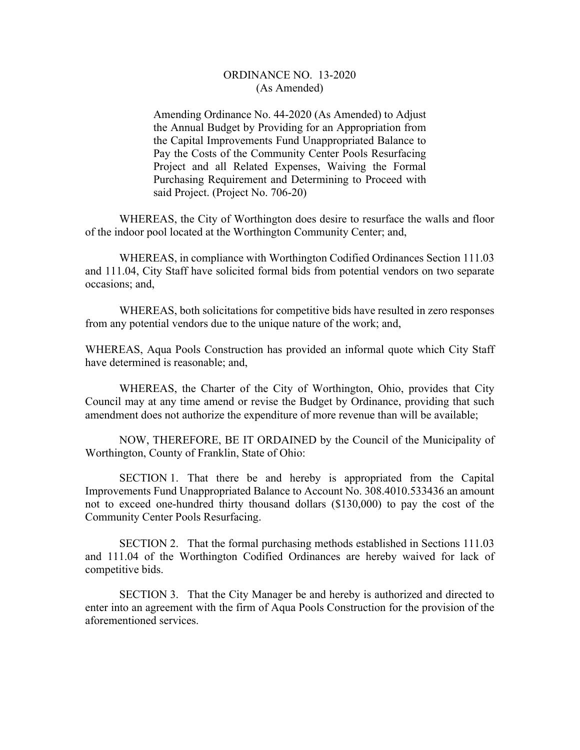## ORDINANCE NO. 13-2020 (As Amended)

Amending Ordinance No. 44-2020 (As Amended) to Adjust the Annual Budget by Providing for an Appropriation from the Capital Improvements Fund Unappropriated Balance to Pay the Costs of the Community Center Pools Resurfacing Project and all Related Expenses, Waiving the Formal Purchasing Requirement and Determining to Proceed with said Project. (Project No. 706-20)

 WHEREAS, the City of Worthington does desire to resurface the walls and floor of the indoor pool located at the Worthington Community Center; and,

 WHEREAS, in compliance with Worthington Codified Ordinances Section 111.03 and 111.04, City Staff have solicited formal bids from potential vendors on two separate occasions; and,

 WHEREAS, both solicitations for competitive bids have resulted in zero responses from any potential vendors due to the unique nature of the work; and,

WHEREAS, Aqua Pools Construction has provided an informal quote which City Staff have determined is reasonable; and,

 WHEREAS, the Charter of the City of Worthington, Ohio, provides that City Council may at any time amend or revise the Budget by Ordinance, providing that such amendment does not authorize the expenditure of more revenue than will be available;

 NOW, THEREFORE, BE IT ORDAINED by the Council of the Municipality of Worthington, County of Franklin, State of Ohio:

 SECTION 1. That there be and hereby is appropriated from the Capital Improvements Fund Unappropriated Balance to Account No. 308.4010.533436 an amount not to exceed one-hundred thirty thousand dollars (\$130,000) to pay the cost of the Community Center Pools Resurfacing.

 SECTION 2. That the formal purchasing methods established in Sections 111.03 and 111.04 of the Worthington Codified Ordinances are hereby waived for lack of competitive bids.

 SECTION 3. That the City Manager be and hereby is authorized and directed to enter into an agreement with the firm of Aqua Pools Construction for the provision of the aforementioned services.